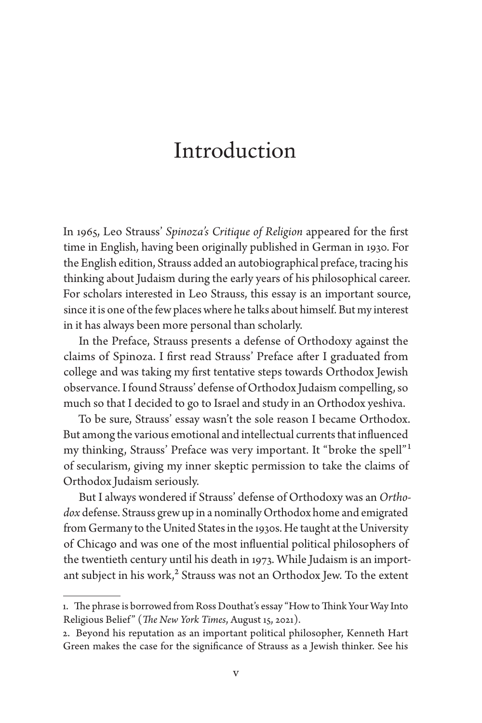## Introduction

In 1965, Leo Strauss' *Spinoza's Critique of Religion* appeared for the first time in English, having been originally published in German in 1930. For the English edition, Strauss added an autobiographical preface, tracing his thinking about Judaism during the early years of his philosophical career. For scholars interested in Leo Strauss, this essay is an important source, since it is one of the few places where he talks about himself. But my interest in it has always been more personal than scholarly.

In the Preface, Strauss presents a defense of Orthodoxy against the claims of Spinoza. I first read Strauss' Preface after I graduated from college and was taking my first tentative steps towards Orthodox Jewish observance. I found Strauss' defense of Orthodox Judaism compelling, so much so that I decided to go to Israel and study in an Orthodox yeshiva.

To be sure, Strauss' essay wasn't the sole reason I became Orthodox. But among the various emotional and intellectual currents that influenced my thinking, Strauss' Preface was very important. It "broke the spell"1 of secularism, giving my inner skeptic permission to take the claims of Orthodox Judaism seriously.

But I always wondered if Strauss' defense of Orthodoxy was an *Orthodox* defense. Strauss grew up in a nominally Orthodox home and emigrated from Germany to the United States in the 1930s. He taught at the University of Chicago and was one of the most influential political philosophers of the twentieth century until his death in 1973. While Judaism is an important subject in his work, $2$  Strauss was not an Orthodox Jew. To the extent

<sup>1.</sup> The phrase is borrowed from Ross Douthat's essay "How to Think Your Way Into Religious Belief " (*The New York Times*, August 15, 2021).

<sup>2.</sup> Beyond his reputation as an important political philosopher, Kenneth Hart Green makes the case for the significance of Strauss as a Jewish thinker. See his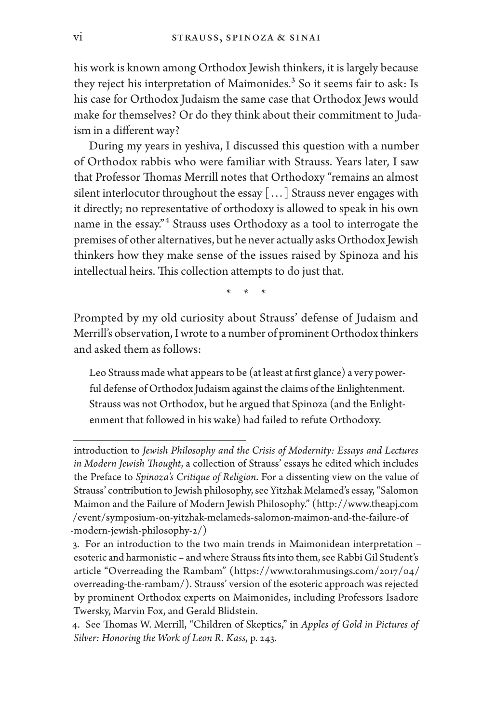his work is known among Orthodox Jewish thinkers, it is largely because they reject his interpretation of Maimonides.<sup>3</sup> So it seems fair to ask: Is his case for Orthodox Judaism the same case that Orthodox Jews would make for themselves? Or do they think about their commitment to Judaism in a different way?

During my years in yeshiva, I discussed this question with a number of Orthodox rabbis who were familiar with Strauss. Years later, I saw that Professor Thomas Merrill notes that Orthodoxy "remains an almost silent interlocutor throughout the essay [...] Strauss never engages with it directly; no representative of orthodoxy is allowed to speak in his own name in the essay."4 Strauss uses Orthodoxy as a tool to interrogate the premises of other alternatives, but he never actually asks Orthodox Jewish thinkers how they make sense of the issues raised by Spinoza and his intellectual heirs. This collection attempts to do just that.

\* \* \*

Prompted by my old curiosity about Strauss' defense of Judaism and Merrill's observation, I wrote to a number of prominent Orthodox thinkers and asked them as follows:

Leo Strauss made what appears to be (at least at first glance) a very powerful defense of Orthodox Judaism against the claims of the Enlightenment. Strauss was not Orthodox, but he argued that Spinoza (and the Enlightenment that followed in his wake) had failed to refute Orthodoxy.

introduction to *Jewish Philosophy and the Crisis of Modernity: Essays and Lectures in Modern Jewish Thought*, a collection of Strauss' essays he edited which includes the Preface to *Spinoza's Critique of Religion*. For a dissenting view on the value of Strauss' contribution to Jewish philosophy, see Yitzhak Melamed's essay, "Salomon Maimon and the Failure of Modern Jewish Philosophy." (http://www.theapj.com /event/symposium-on-yitzhak-melameds-salomon-maimon-and-the-failure-of -modern-jewish-philosophy-2/)

<sup>3.</sup> For an introduction to the two main trends in Maimonidean interpretation – esoteric and harmonistic – and where Strauss fits into them, see Rabbi Gil Student's article "Overreading the Rambam" (https://www.torahmusings.com/2017/04/ overreading-the-rambam/). Strauss' version of the esoteric approach was rejected by prominent Orthodox experts on Maimonides, including Professors Isadore Twersky, Marvin Fox, and Gerald Blidstein.

<sup>4.</sup> See Thomas W. Merrill, "Children of Skeptics," in *Apples of Gold in Pictures of Silver: Honoring the Work of Leon R. Kass*, p. 243.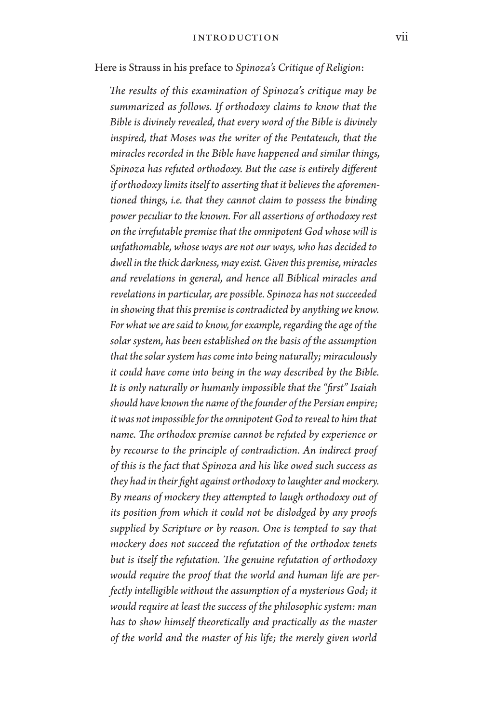Here is Strauss in his preface to *Spinoza's Critique of Religion*:

*The results of this examination of Spinoza's critique may be summarized as follows. If orthodoxy claims to know that the Bible is divinely revealed, that every word of the Bible is divinely inspired, that Moses was the writer of the Pentateuch, that the miracles recorded in the Bible have happened and similar things, Spinoza has refuted orthodoxy. But the case is entirely different if orthodoxy limits itself to asserting that it believes the aforementioned things, i.e. that they cannot claim to possess the binding power peculiar to the known. For all assertions of orthodoxy rest on the irrefutable premise that the omnipotent God whose will is unfathomable, whose ways are not our ways, who has decided to dwell in the thick darkness, may exist. Given this premise, miracles and revelations in general, and hence all Biblical miracles and revelations in particular, are possible. Spinoza has not succeeded in showing that this premise is contradicted by anything we know. For what we are said to know, for example, regarding the age of the solar system, has been established on the basis of the assumption that the solar system has come into being naturally; miraculously it could have come into being in the way described by the Bible. It is only naturally or humanly impossible that the "first" Isaiah should have known the name of the founder of the Persian empire; it was not impossible for the omnipotent God to reveal to him that name. The orthodox premise cannot be refuted by experience or by recourse to the principle of contradiction. An indirect proof of this is the fact that Spinoza and his like owed such success as they had in their fight against orthodoxy to laughter and mockery. By means of mockery they attempted to laugh orthodoxy out of its position from which it could not be dislodged by any proofs supplied by Scripture or by reason. One is tempted to say that mockery does not succeed the refutation of the orthodox tenets but is itself the refutation. The genuine refutation of orthodoxy would require the proof that the world and human life are perfectly intelligible without the assumption of a mysterious God; it would require at least the success of the philosophic system: man has to show himself theoretically and practically as the master of the world and the master of his life; the merely given world*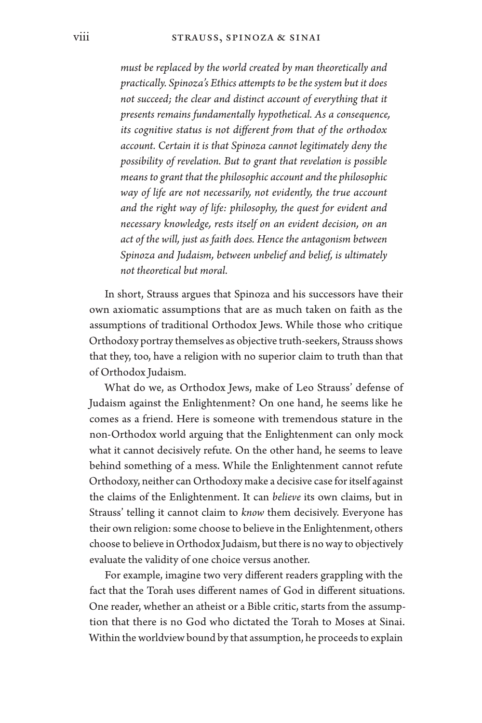*must be replaced by the world created by man theoretically and practically. Spinoza's Ethics attempts to be the system but it does*  not succeed; the clear and distinct account of everything that it *presents remains fundamentally hypothetical. As a consequence, its cognitive status is not different from that of the orthodox account. Certain it is that Spinoza cannot legitimately deny the possibility of revelation. But to grant that revelation is possible means to grant that the philosophic account and the philosophic way of life are not necessarily, not evidently, the true account and the right way of life: philosophy, the quest for evident and necessary knowledge, rests itself on an evident decision, on an act of the will, just as faith does. Hence the antagonism between Spinoza and Judaism, between unbelief and belief, is ultimately not theoretical but moral.*

In short, Strauss argues that Spinoza and his successors have their own axiomatic assumptions that are as much taken on faith as the assumptions of traditional Orthodox Jews. While those who critique Orthodoxy portray themselves as objective truth-seekers, Strauss shows that they, too, have a religion with no superior claim to truth than that of Orthodox Judaism.

What do we, as Orthodox Jews, make of Leo Strauss' defense of Judaism against the Enlightenment? On one hand, he seems like he comes as a friend. Here is someone with tremendous stature in the non-Orthodox world arguing that the Enlightenment can only mock what it cannot decisively refute. On the other hand, he seems to leave behind something of a mess. While the Enlightenment cannot refute Orthodoxy, neither can Orthodoxy make a decisive case for itself against the claims of the Enlightenment. It can *believe* its own claims, but in Strauss' telling it cannot claim to *know* them decisively. Everyone has their own religion: some choose to believe in the Enlightenment, others choose to believe in Orthodox Judaism, but there is no way to objectively evaluate the validity of one choice versus another.

For example, imagine two very different readers grappling with the fact that the Torah uses different names of God in different situations. One reader, whether an atheist or a Bible critic, starts from the assumption that there is no God who dictated the Torah to Moses at Sinai. Within the worldview bound by that assumption, he proceeds to explain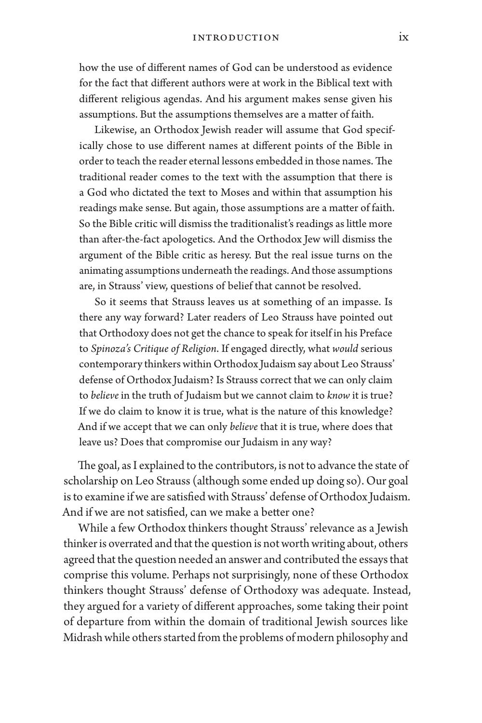how the use of different names of God can be understood as evidence for the fact that different authors were at work in the Biblical text with different religious agendas. And his argument makes sense given his assumptions. But the assumptions themselves are a matter of faith.

Likewise, an Orthodox Jewish reader will assume that God specifically chose to use different names at different points of the Bible in order to teach the reader eternal lessons embedded in those names. The traditional reader comes to the text with the assumption that there is a God who dictated the text to Moses and within that assumption his readings make sense. But again, those assumptions are a matter of faith. So the Bible critic will dismiss the traditionalist's readings as little more than after-the-fact apologetics. And the Orthodox Jew will dismiss the argument of the Bible critic as heresy. But the real issue turns on the animating assumptions underneath the readings. And those assumptions are, in Strauss' view, questions of belief that cannot be resolved.

So it seems that Strauss leaves us at something of an impasse. Is there any way forward? Later readers of Leo Strauss have pointed out that Orthodoxy does not get the chance to speak for itself in his Preface to *Spinoza's Critique of Religion*. If engaged directly, what *would* serious contemporary thinkers within Orthodox Judaism say about Leo Strauss' defense of Orthodox Judaism? Is Strauss correct that we can only claim to *believe* in the truth of Judaism but we cannot claim to *know* it is true? If we do claim to know it is true, what is the nature of this knowledge? And if we accept that we can only *believe* that it is true, where does that leave us? Does that compromise our Judaism in any way?

The goal, as I explained to the contributors, is not to advance the state of scholarship on Leo Strauss (although some ended up doing so). Our goal is to examine if we are satisfied with Strauss' defense of Orthodox Judaism. And if we are not satisfied, can we make a better one?

While a few Orthodox thinkers thought Strauss' relevance as a Jewish thinker is overrated and that the question is not worth writing about, others agreed that the question needed an answer and contributed the essays that comprise this volume. Perhaps not surprisingly, none of these Orthodox thinkers thought Strauss' defense of Orthodoxy was adequate. Instead, they argued for a variety of different approaches, some taking their point of departure from within the domain of traditional Jewish sources like Midrash while others started from the problems of modern philosophy and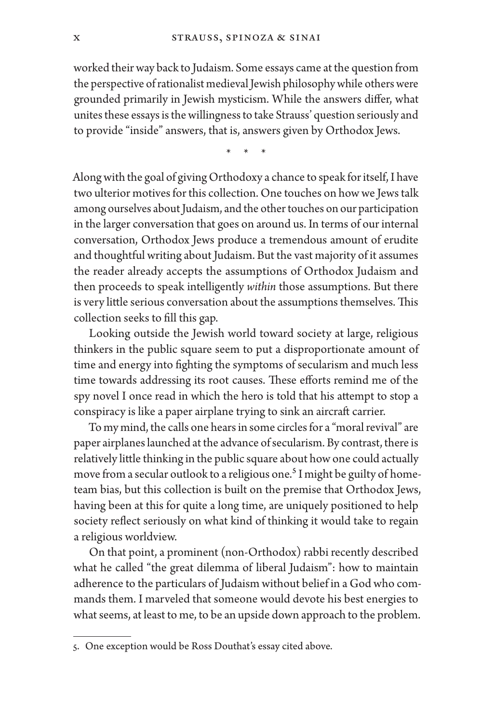worked their way back to Judaism. Some essays came at the question from the perspective of rationalist medieval Jewish philosophy while others were grounded primarily in Jewish mysticism. While the answers differ, what unites these essays is the willingness to take Strauss' question seriously and to provide "inside" answers, that is, answers given by Orthodox Jews.

\* \* \*

Along with the goal of giving Orthodoxy a chance to speak for itself, I have two ulterior motives for this collection. One touches on how we Jews talk among ourselves about Judaism, and the other touches on our participation in the larger conversation that goes on around us. In terms of our internal conversation, Orthodox Jews produce a tremendous amount of erudite and thoughtful writing about Judaism. But the vast majority of it assumes the reader already accepts the assumptions of Orthodox Judaism and then proceeds to speak intelligently *within* those assumptions. But there is very little serious conversation about the assumptions themselves. This collection seeks to fill this gap.

Looking outside the Jewish world toward society at large, religious thinkers in the public square seem to put a disproportionate amount of time and energy into fighting the symptoms of secularism and much less time towards addressing its root causes. These efforts remind me of the spy novel I once read in which the hero is told that his attempt to stop a conspiracy is like a paper airplane trying to sink an aircraft carrier.

To my mind, the calls one hears in some circles for a "moral revival" are paper airplanes launched at the advance of secularism. By contrast, there is relatively little thinking in the public square about how one could actually move from a secular outlook to a religious one.<sup>5</sup> I might be guilty of hometeam bias, but this collection is built on the premise that Orthodox Jews, having been at this for quite a long time, are uniquely positioned to help society reflect seriously on what kind of thinking it would take to regain a religious worldview.

On that point, a prominent (non-Orthodox) rabbi recently described what he called "the great dilemma of liberal Judaism": how to maintain adherence to the particulars of Judaism without belief in a God who commands them. I marveled that someone would devote his best energies to what seems, at least to me, to be an upside down approach to the problem.

<sup>5.</sup> One exception would be Ross Douthat's essay cited above.